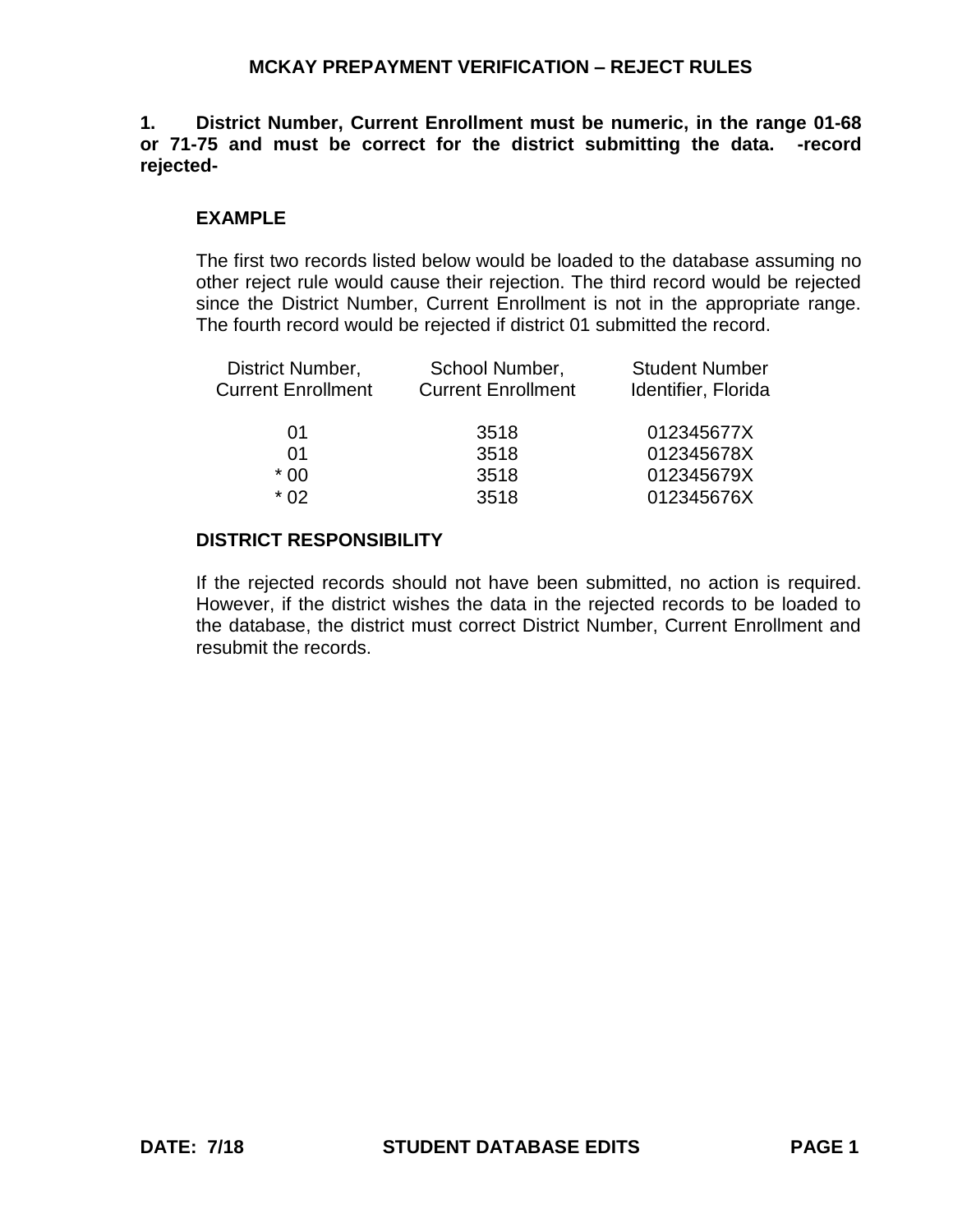**1. District Number, Current Enrollment must be numeric, in the range 01-68 or 71-75 and must be correct for the district submitting the data. -record rejected-**

### **EXAMPLE**

The first two records listed below would be loaded to the database assuming no other reject rule would cause their rejection. The third record would be rejected since the District Number, Current Enrollment is not in the appropriate range. The fourth record would be rejected if district 01 submitted the record.

| District Number,<br><b>Current Enrollment</b> | School Number,<br><b>Current Enrollment</b> | <b>Student Number</b><br>Identifier, Florida |
|-----------------------------------------------|---------------------------------------------|----------------------------------------------|
| 01                                            | 3518                                        | 012345677X                                   |
| 01                                            | 3518                                        | 012345678X                                   |
| $*00$                                         | 3518                                        | 012345679X                                   |
| * በ2                                          | 3518                                        | 012345676X                                   |
|                                               |                                             |                                              |

### **DISTRICT RESPONSIBILITY**

If the rejected records should not have been submitted, no action is required. However, if the district wishes the data in the rejected records to be loaded to the database, the district must correct District Number, Current Enrollment and resubmit the records.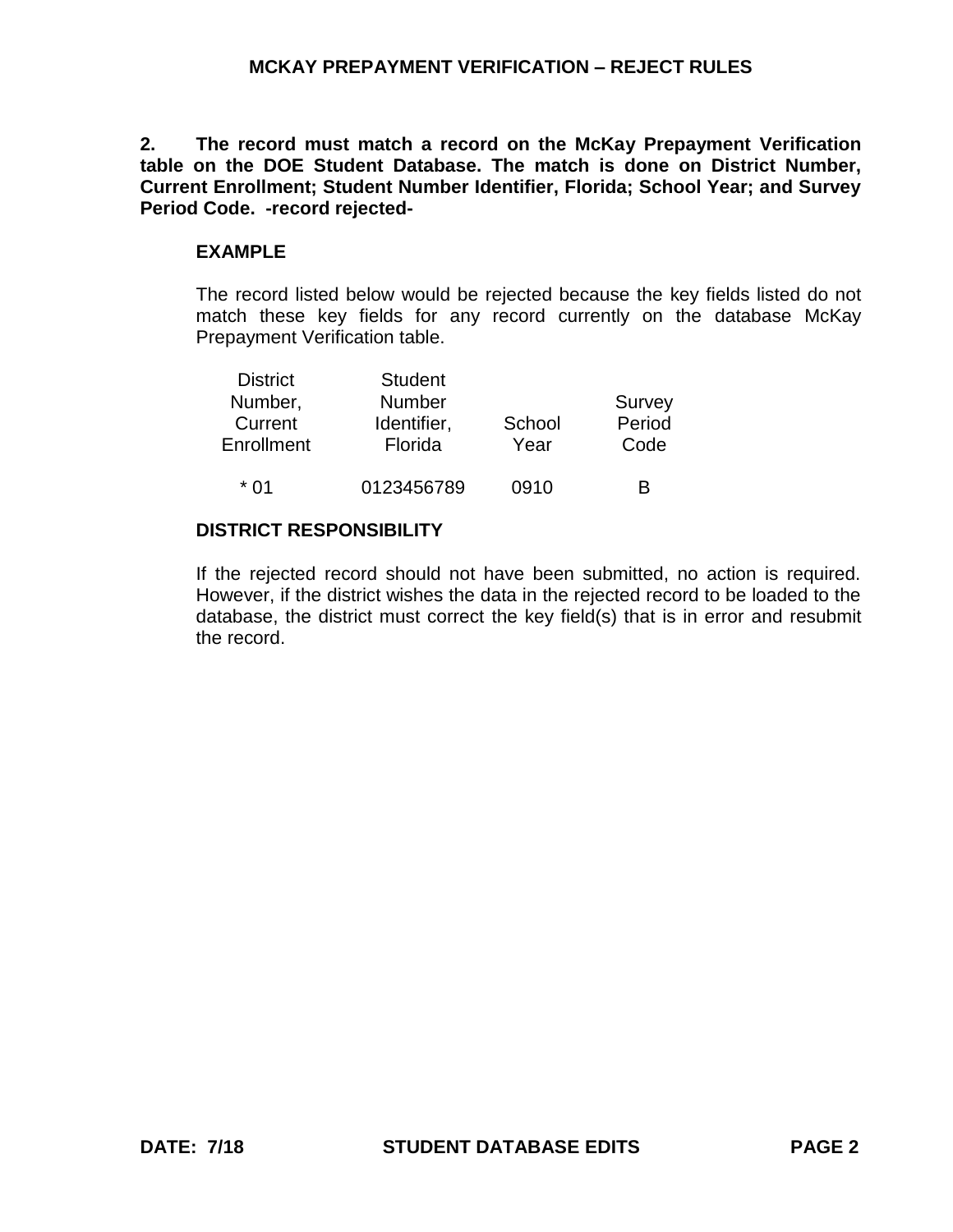**2. The record must match a record on the McKay Prepayment Verification table on the DOE Student Database. The match is done on District Number, Current Enrollment; Student Number Identifier, Florida; School Year; and Survey Period Code. -record rejected-**

## **EXAMPLE**

The record listed below would be rejected because the key fields listed do not match these key fields for any record currently on the database McKay Prepayment Verification table.

| <b>District</b> | <b>Student</b> |        |        |
|-----------------|----------------|--------|--------|
| Number,         | <b>Number</b>  |        | Survey |
| Current         | Identifier,    | School | Period |
| Enrollment      | Florida        | Year   | Code   |
|                 |                |        |        |
| * በ1            | 0123456789     | 0910   | R      |

# **DISTRICT RESPONSIBILITY**

If the rejected record should not have been submitted, no action is required. However, if the district wishes the data in the rejected record to be loaded to the database, the district must correct the key field(s) that is in error and resubmit the record.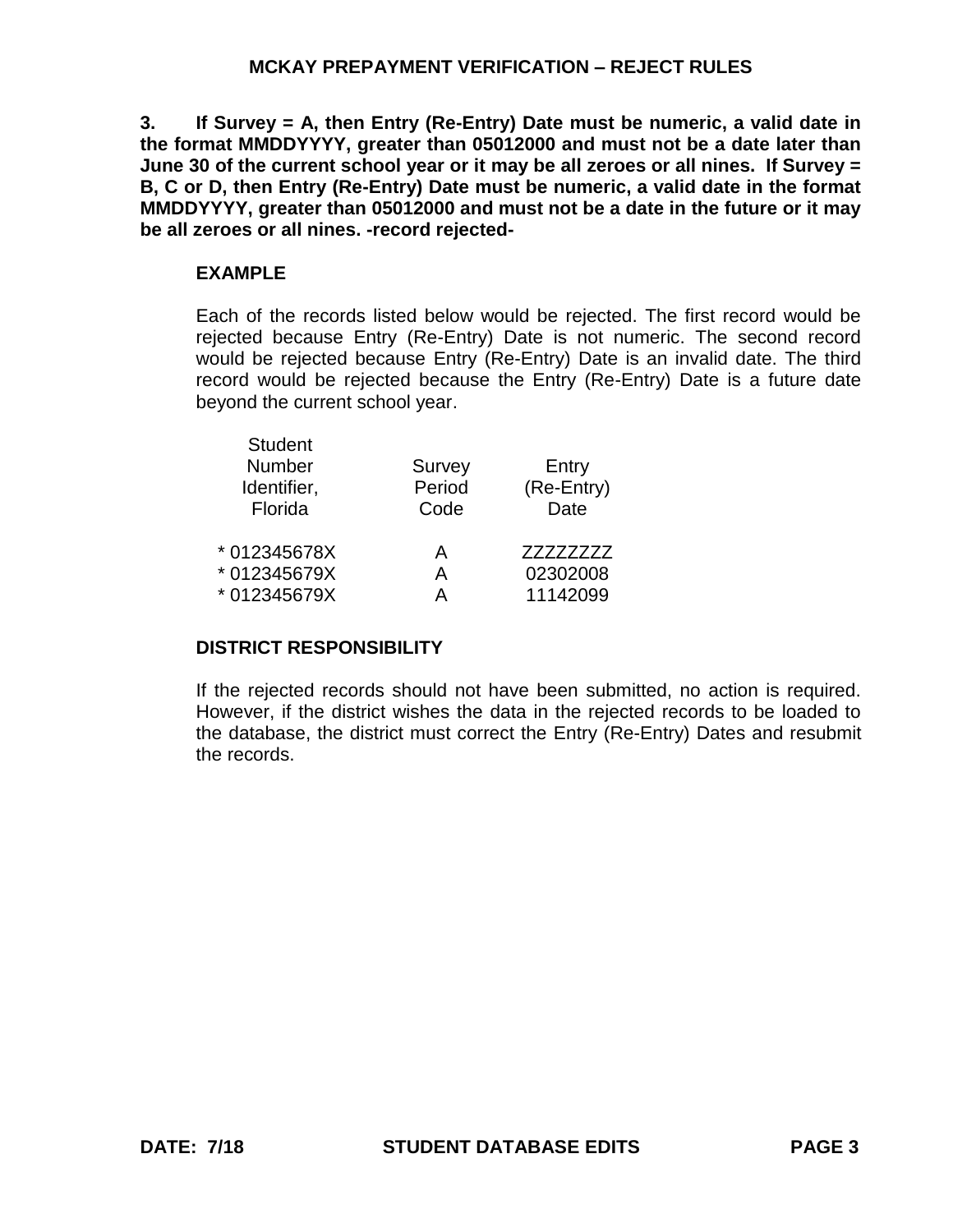**3. If Survey = A, then Entry (Re-Entry) Date must be numeric, a valid date in the format MMDDYYYY, greater than 05012000 and must not be a date later than June 30 of the current school year or it may be all zeroes or all nines. If Survey = B, C or D, then Entry (Re-Entry) Date must be numeric, a valid date in the format MMDDYYYY, greater than 05012000 and must not be a date in the future or it may be all zeroes or all nines. -record rejected-**

# **EXAMPLE**

Each of the records listed below would be rejected. The first record would be rejected because Entry (Re-Entry) Date is not numeric. The second record would be rejected because Entry (Re-Entry) Date is an invalid date. The third record would be rejected because the Entry (Re-Entry) Date is a future date beyond the current school year.

| <b>Student</b><br>Number<br>Identifier,<br>Florida | <b>Survey</b><br>Period<br>Code | Entry<br>(Re-Entry)<br>Date |
|----------------------------------------------------|---------------------------------|-----------------------------|
| * 012345678X                                       | A                               | ZZZZZZZZZ                   |
| * 012345679X                                       | A                               | 02302008                    |
| * 012345679X                                       | А                               | 11142099                    |

# **DISTRICT RESPONSIBILITY**

If the rejected records should not have been submitted, no action is required. However, if the district wishes the data in the rejected records to be loaded to the database, the district must correct the Entry (Re-Entry) Dates and resubmit the records.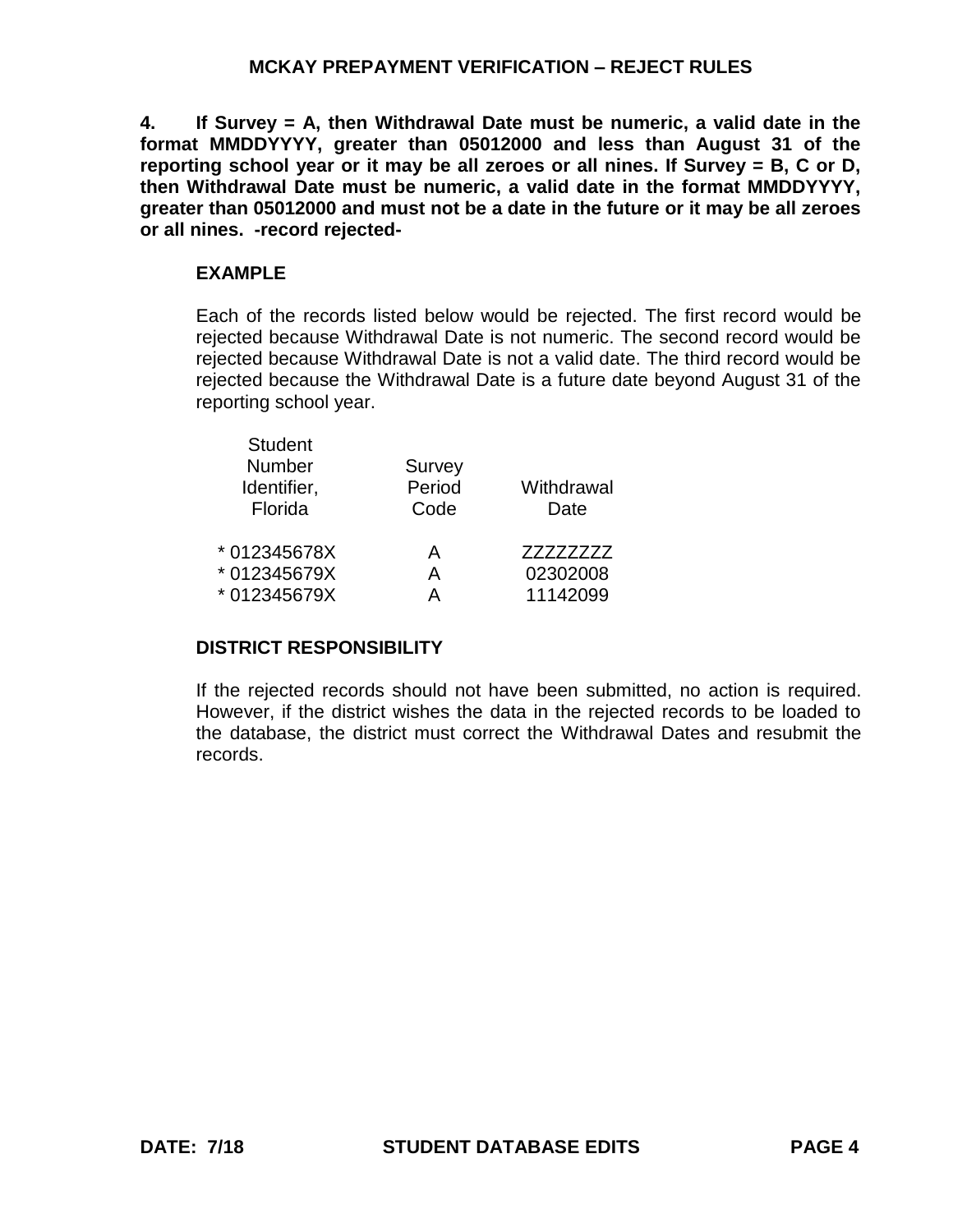**4. If Survey = A, then Withdrawal Date must be numeric, a valid date in the format MMDDYYYY, greater than 05012000 and less than August 31 of the reporting school year or it may be all zeroes or all nines. If Survey = B, C or D, then Withdrawal Date must be numeric, a valid date in the format MMDDYYYY, greater than 05012000 and must not be a date in the future or it may be all zeroes or all nines. -record rejected-**

# **EXAMPLE**

Each of the records listed below would be rejected. The first record would be rejected because Withdrawal Date is not numeric. The second record would be rejected because Withdrawal Date is not a valid date. The third record would be rejected because the Withdrawal Date is a future date beyond August 31 of the reporting school year.

| Code        | Withdrawal<br>Date               |
|-------------|----------------------------------|
| А<br>A<br>А | 77777777<br>02302008<br>11142099 |
|             | Period                           |

# **DISTRICT RESPONSIBILITY**

If the rejected records should not have been submitted, no action is required. However, if the district wishes the data in the rejected records to be loaded to the database, the district must correct the Withdrawal Dates and resubmit the records.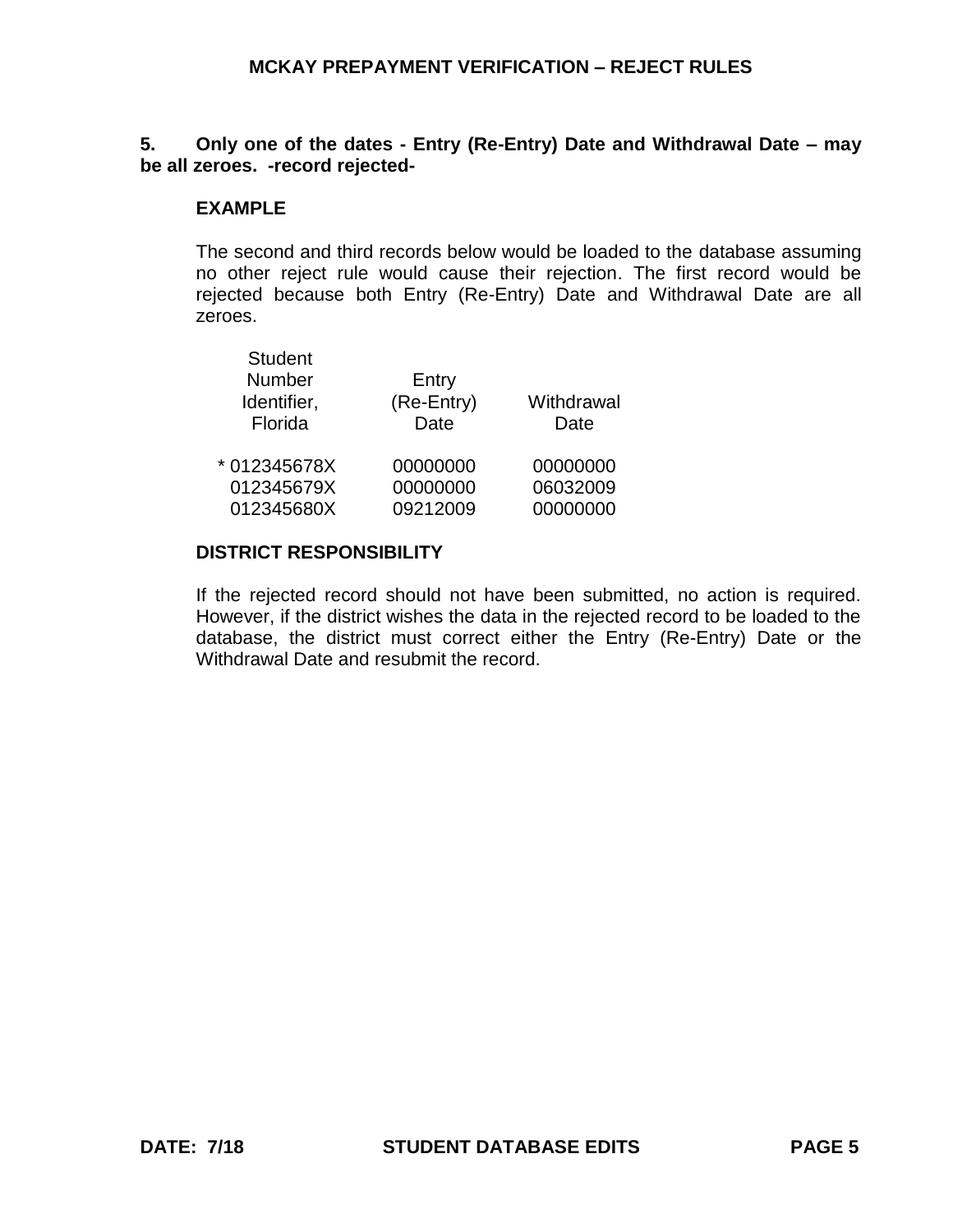## **5. Only one of the dates - Entry (Re-Entry) Date and Withdrawal Date – may be all zeroes. -record rejected-**

### **EXAMPLE**

The second and third records below would be loaded to the database assuming no other reject rule would cause their rejection. The first record would be rejected because both Entry (Re-Entry) Date and Withdrawal Date are all zeroes.

| <b>Student</b><br><b>Number</b><br>Identifier,<br>Florida | Entry<br>(Re-Entry)<br>Date | Withdrawal<br>Date |
|-----------------------------------------------------------|-----------------------------|--------------------|
| * 012345678X                                              | 00000000                    | 00000000           |
| 012345679X                                                | 00000000                    | 06032009           |
| 012345680X                                                | 09212009                    | 00000000           |

#### **DISTRICT RESPONSIBILITY**

If the rejected record should not have been submitted, no action is required. However, if the district wishes the data in the rejected record to be loaded to the database, the district must correct either the Entry (Re-Entry) Date or the Withdrawal Date and resubmit the record.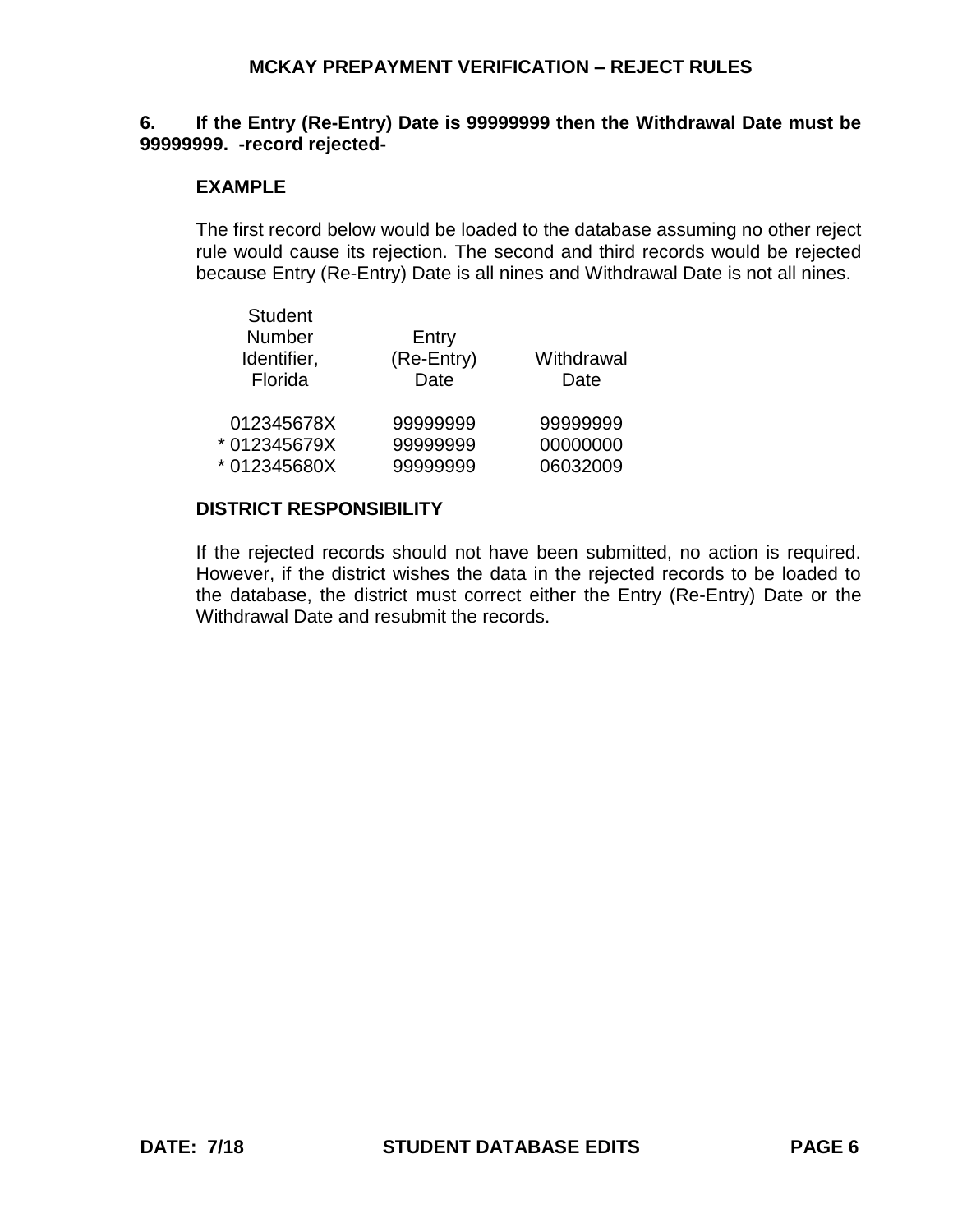#### **6. If the Entry (Re-Entry) Date is 99999999 then the Withdrawal Date must be 99999999. -record rejected-**

#### **EXAMPLE**

The first record below would be loaded to the database assuming no other reject rule would cause its rejection. The second and third records would be rejected because Entry (Re-Entry) Date is all nines and Withdrawal Date is not all nines.

| <b>Student</b><br>Number<br>Identifier,<br>Florida | Entry<br>(Re-Entry)<br>Date | Withdrawal<br>Date |
|----------------------------------------------------|-----------------------------|--------------------|
| 012345678X                                         | 99999999                    | 99999999           |
| *012345679X                                        | 99999999                    | 00000000           |
| *012345680X                                        | 99999999                    | 06032009           |

# **DISTRICT RESPONSIBILITY**

If the rejected records should not have been submitted, no action is required. However, if the district wishes the data in the rejected records to be loaded to the database, the district must correct either the Entry (Re-Entry) Date or the Withdrawal Date and resubmit the records.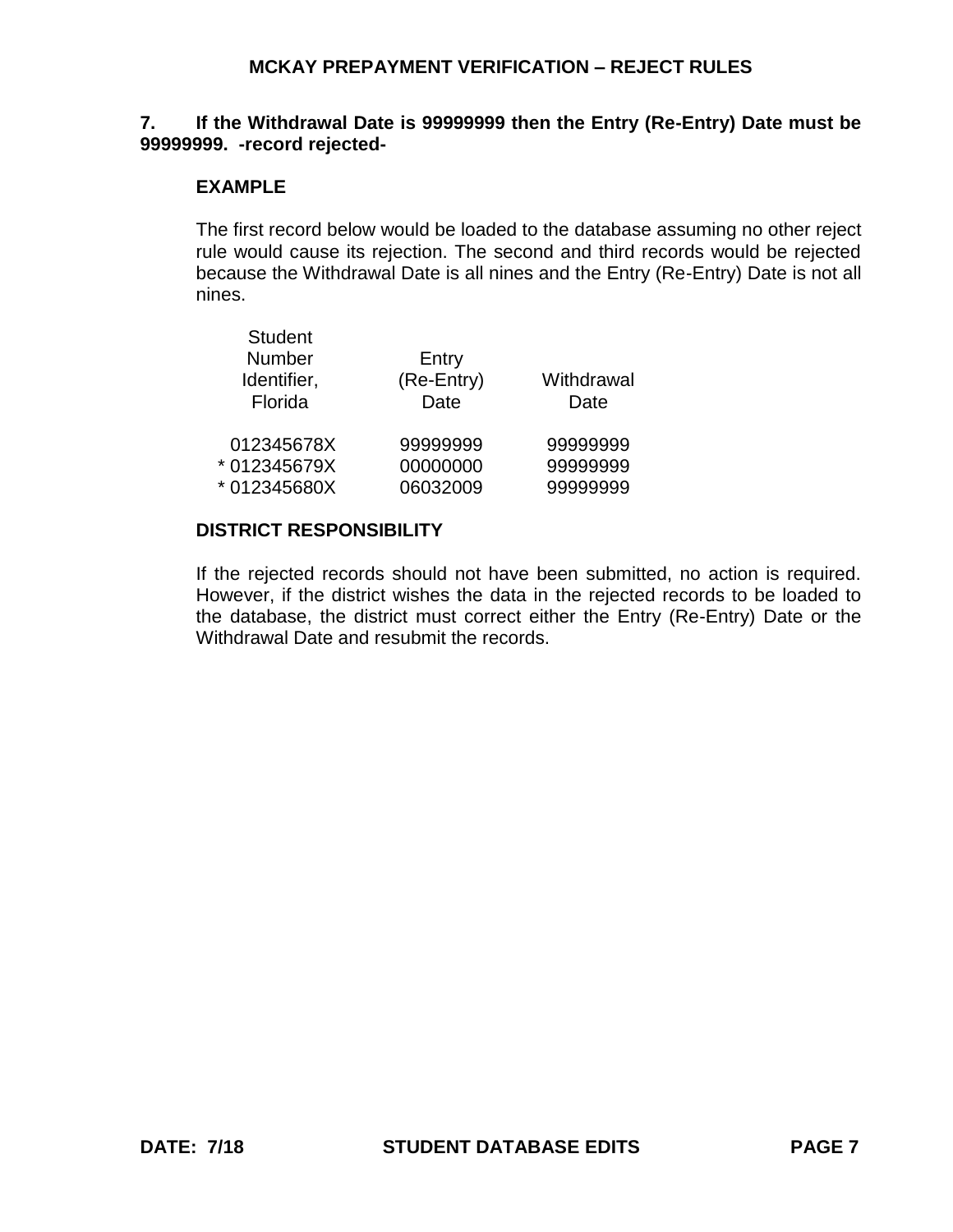#### **7. If the Withdrawal Date is 99999999 then the Entry (Re-Entry) Date must be 99999999. -record rejected-**

#### **EXAMPLE**

The first record below would be loaded to the database assuming no other reject rule would cause its rejection. The second and third records would be rejected because the Withdrawal Date is all nines and the Entry (Re-Entry) Date is not all nines.

| <b>Student</b><br><b>Number</b><br>Identifier,<br>Florida | Entry<br>(Re-Entry)<br>Date | Withdrawal<br>Date |
|-----------------------------------------------------------|-----------------------------|--------------------|
| 012345678X                                                | 99999999                    | 99999999           |
| *012345679X                                               | 00000000                    | 99999999           |
| *012345680X                                               | 06032009                    | 99999999           |

### **DISTRICT RESPONSIBILITY**

If the rejected records should not have been submitted, no action is required. However, if the district wishes the data in the rejected records to be loaded to the database, the district must correct either the Entry (Re-Entry) Date or the Withdrawal Date and resubmit the records.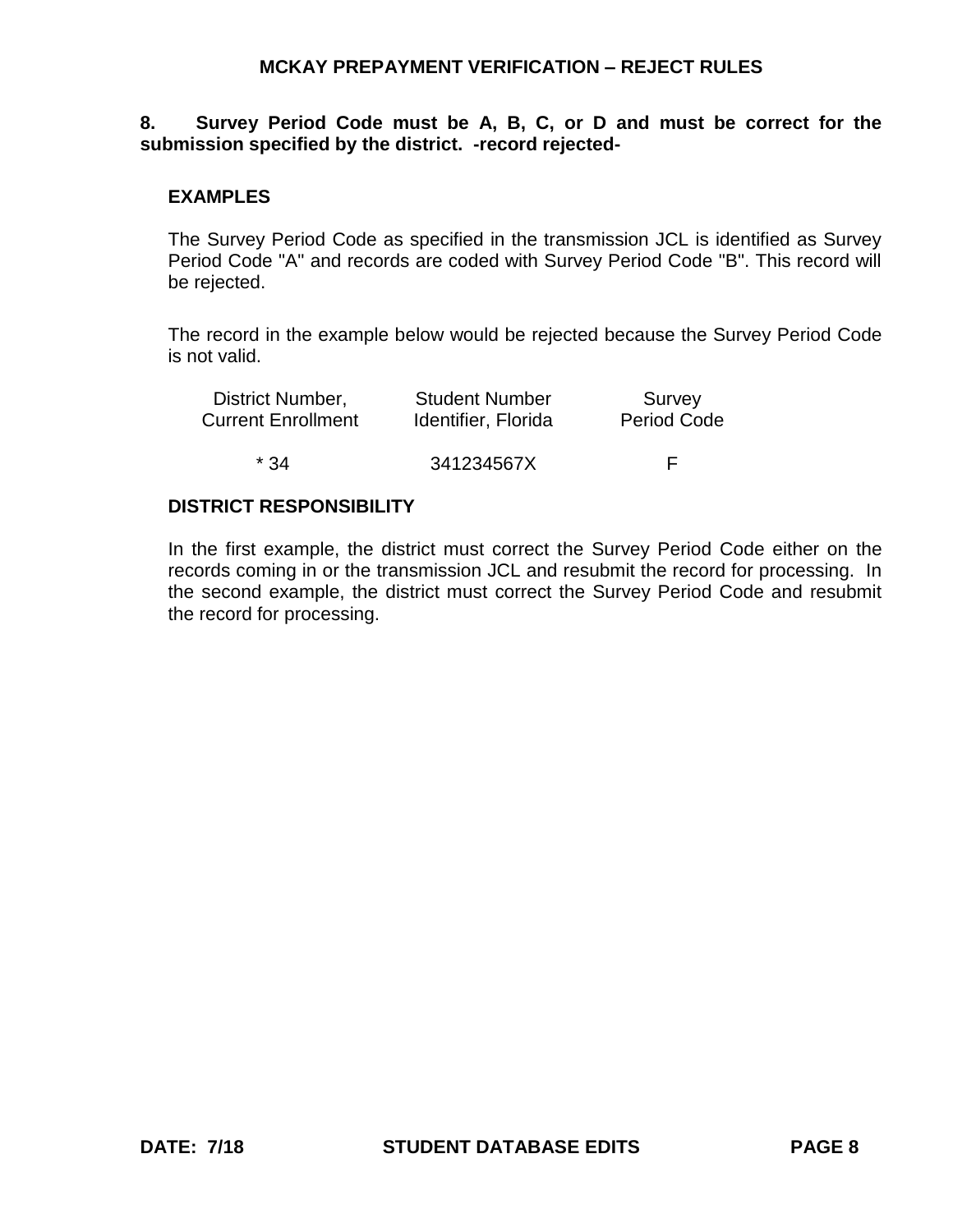# **8. Survey Period Code must be A, B, C, or D and must be correct for the submission specified by the district. -record rejected-**

### **EXAMPLES**

The Survey Period Code as specified in the transmission JCL is identified as Survey Period Code "A" and records are coded with Survey Period Code "B". This record will be rejected.

The record in the example below would be rejected because the Survey Period Code is not valid.

| District Number,          | <b>Student Number</b> | Survey             |
|---------------------------|-----------------------|--------------------|
| <b>Current Enrollment</b> | Identifier, Florida   | <b>Period Code</b> |
| $*34$                     | 341234567X            |                    |

### **DISTRICT RESPONSIBILITY**

In the first example, the district must correct the Survey Period Code either on the records coming in or the transmission JCL and resubmit the record for processing. In the second example, the district must correct the Survey Period Code and resubmit the record for processing.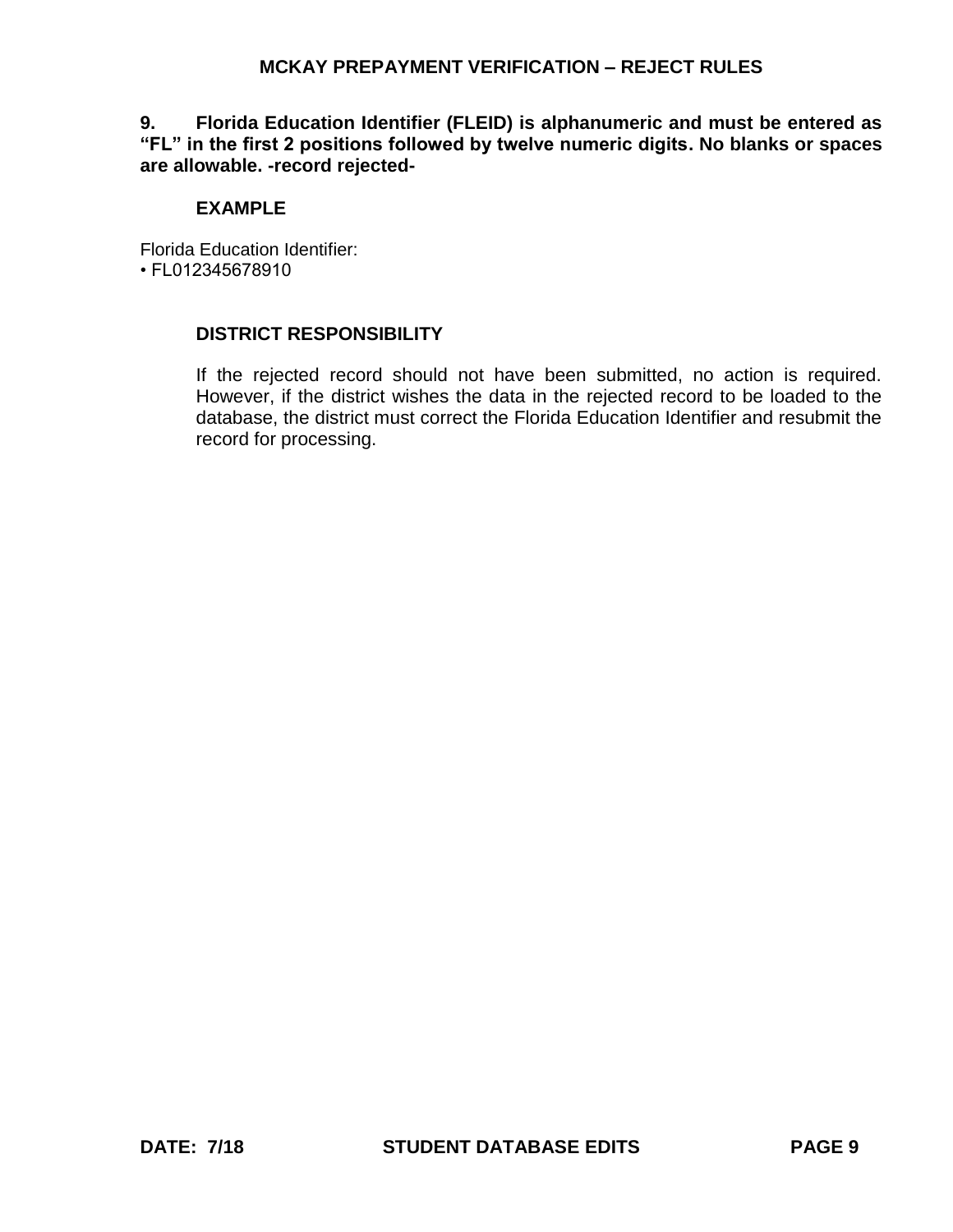**9. Florida Education Identifier (FLEID) is alphanumeric and must be entered as "FL" in the first 2 positions followed by twelve numeric digits. No blanks or spaces are allowable. -record rejected-**

# **EXAMPLE**

Florida Education Identifier: • FL012345678910

# **DISTRICT RESPONSIBILITY**

If the rejected record should not have been submitted, no action is required. However, if the district wishes the data in the rejected record to be loaded to the database, the district must correct the Florida Education Identifier and resubmit the record for processing.